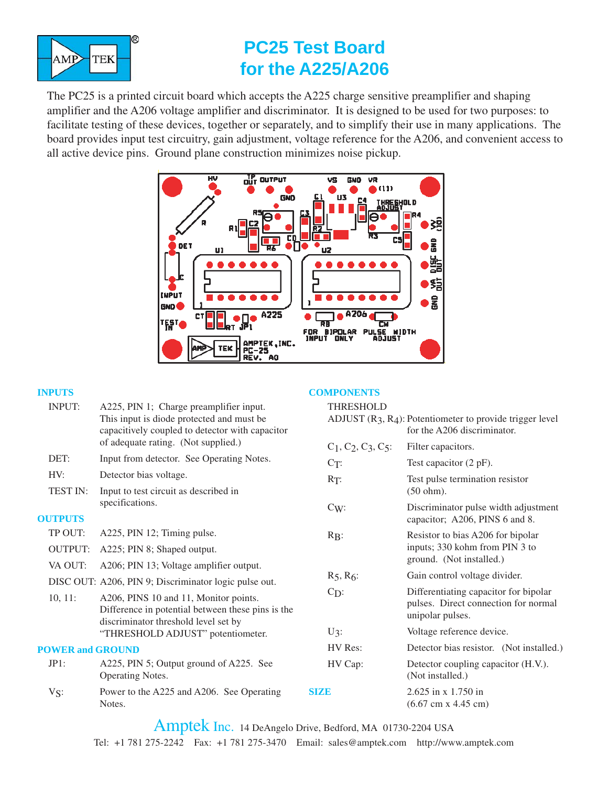

# **PC25 Test Board for the A225/A206**

The PC25 is a printed circuit board which accepts the A225 charge sensitive preamplifier and shaping amplifier and the A206 voltage amplifier and discriminator. It is designed to be used for two purposes: to facilitate testing of these devices, together or separately, and to simplify their use in many applications. The board provides input test circuitry, gain adjustment, voltage reference for the A206, and convenient access to all active device pins. Ground plane construction minimizes noise pickup.



#### **INPUTS**

| <b>INPUTS</b>                                         |                                                                                                                                         | <b>COMPONENTS</b>        |                                                                                                   |
|-------------------------------------------------------|-----------------------------------------------------------------------------------------------------------------------------------------|--------------------------|---------------------------------------------------------------------------------------------------|
| <b>INPUT:</b>                                         | A225, PIN 1; Charge preamplifier input.<br>This input is diode protected and must be<br>capacitively coupled to detector with capacitor | <b>THRESHOLD</b>         | ADJUST $(R_3, R_4)$ : Potentiometer to provide trigger level<br>for the A206 discriminator.       |
|                                                       | of adequate rating. (Not supplied.)                                                                                                     | $C_1, C_2, C_3, C_5$ :   | Filter capacitors.                                                                                |
| DET:                                                  | Input from detector. See Operating Notes.                                                                                               | $C_T$ :                  | Test capacitor $(2 pF)$ .                                                                         |
| HV:                                                   | Detector bias voltage.                                                                                                                  | $R_T$ :                  | Test pulse termination resistor                                                                   |
| <b>TEST IN:</b>                                       | Input to test circuit as described in                                                                                                   |                          | $(50 ohm)$ .                                                                                      |
| <b>OUTPUTS</b>                                        | specifications.                                                                                                                         | $C_{W}$                  | Discriminator pulse width adjustment<br>capacitor; A206, PINS 6 and 8.                            |
| TP OUT:                                               | A225, PIN 12; Timing pulse.                                                                                                             | $R_{\rm B}$ :            | Resistor to bias A206 for bipolar<br>inputs; 330 kohm from PIN 3 to                               |
| <b>OUTPUT:</b>                                        | A225; PIN 8; Shaped output.                                                                                                             |                          |                                                                                                   |
| VA OUT:                                               | A206; PIN 13; Voltage amplifier output.                                                                                                 | ground. (Not installed.) |                                                                                                   |
| DISC OUT: A206, PIN 9; Discriminator logic pulse out. |                                                                                                                                         | $R_5, R_6:$              | Gain control voltage divider.                                                                     |
| $10, 11$ :                                            | A206, PINS 10 and 11, Monitor points.<br>Difference in potential between these pins is the<br>discriminator threshold level set by      | $C_{D}$ :                | Differentiating capacitor for bipolar<br>pulses. Direct connection for normal<br>unipolar pulses. |
|                                                       | "THRESHOLD ADJUST" potentiometer.                                                                                                       | $U_3$ :                  | Voltage reference device.                                                                         |
| <b>POWER and GROUND</b>                               |                                                                                                                                         | HV Res:                  | Detector bias resistor. (Not installed.)                                                          |
| JPI:                                                  | A225, PIN 5; Output ground of A225. See<br>Operating Notes.                                                                             | HV Cap:                  | Detector coupling capacitor (H.V.).<br>(Not installed.)                                           |
| $V_{S}$ :                                             | Power to the A225 and A206. See Operating<br>Notes.                                                                                     | <b>SIZD</b>              | $2.625$ in x 1.750 in<br>$(6.67 \text{ cm} \times 4.45 \text{ cm})$                               |
|                                                       |                                                                                                                                         |                          |                                                                                                   |

Amptek Inc. 14 DeAngelo Drive, Bedford, MA 01730-2204 USA Tel: +1 781 275-2242 Fax: +1 781 275-3470 Email: sales@amptek.com http://www.amptek.com